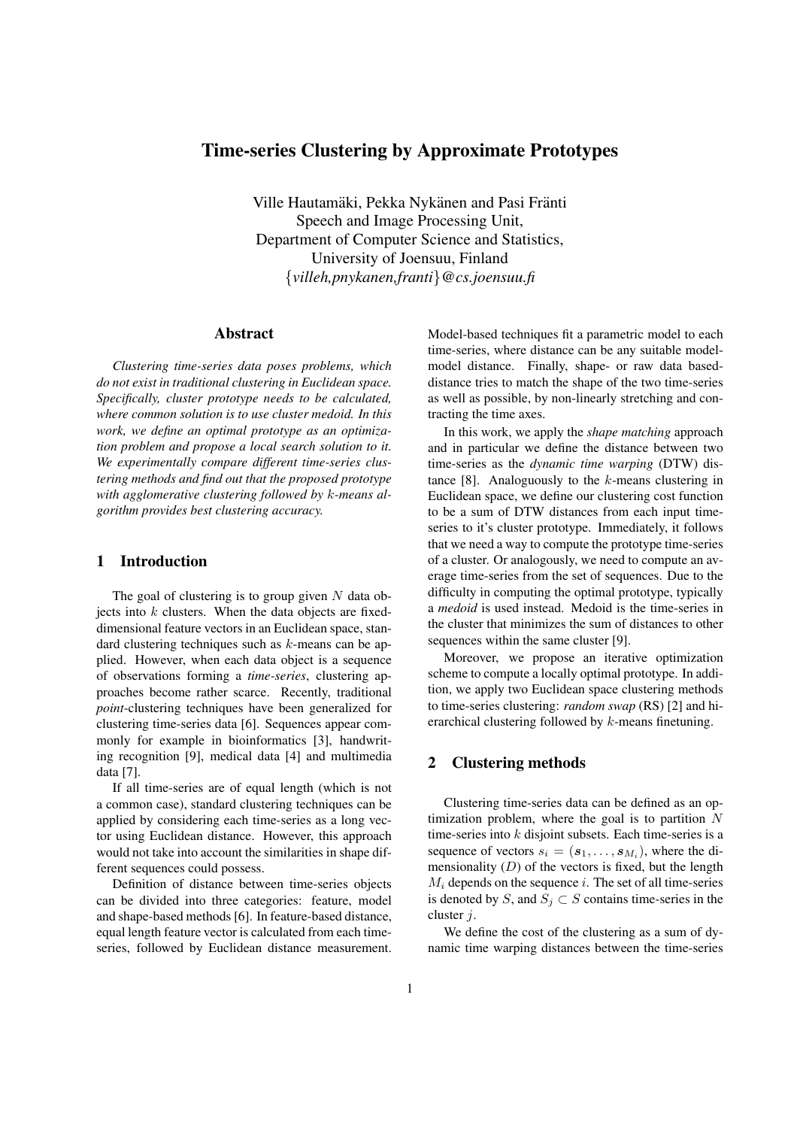# Time-series Clustering by Approximate Prototypes

Ville Hautamäki, Pekka Nykänen and Pasi Fränti Speech and Image Processing Unit, Department of Computer Science and Statistics, University of Joensuu, Finland {*villeh,pnykanen,franti*}*@cs.joensuu.fi*

# Abstract

*Clustering time-series data poses problems, which do not exist in traditional clustering in Euclidean space. Specifically, cluster prototype needs to be calculated, where common solution is to use cluster medoid. In this work, we define an optimal prototype as an optimization problem and propose a local search solution to it. We experimentally compare different time-series clustering methods and find out that the proposed prototype with agglomerative clustering followed by* k*-means algorithm provides best clustering accuracy.*

# 1 Introduction

The goal of clustering is to group given  $N$  data objects into  $k$  clusters. When the data objects are fixeddimensional feature vectors in an Euclidean space, standard clustering techniques such as  $k$ -means can be applied. However, when each data object is a sequence of observations forming a *time-series*, clustering approaches become rather scarce. Recently, traditional *point*-clustering techniques have been generalized for clustering time-series data [6]. Sequences appear commonly for example in bioinformatics [3], handwriting recognition [9], medical data [4] and multimedia data [7].

If all time-series are of equal length (which is not a common case), standard clustering techniques can be applied by considering each time-series as a long vector using Euclidean distance. However, this approach would not take into account the similarities in shape different sequences could possess.

Definition of distance between time-series objects can be divided into three categories: feature, model and shape-based methods [6]. In feature-based distance, equal length feature vector is calculated from each timeseries, followed by Euclidean distance measurement. Model-based techniques fit a parametric model to each time-series, where distance can be any suitable modelmodel distance. Finally, shape- or raw data baseddistance tries to match the shape of the two time-series as well as possible, by non-linearly stretching and contracting the time axes.

In this work, we apply the *shape matching* approach and in particular we define the distance between two time-series as the *dynamic time warping* (DTW) distance [8]. Analoguously to the  $k$ -means clustering in Euclidean space, we define our clustering cost function to be a sum of DTW distances from each input timeseries to it's cluster prototype. Immediately, it follows that we need a way to compute the prototype time-series of a cluster. Or analogously, we need to compute an average time-series from the set of sequences. Due to the difficulty in computing the optimal prototype, typically a *medoid* is used instead. Medoid is the time-series in the cluster that minimizes the sum of distances to other sequences within the same cluster [9].

Moreover, we propose an iterative optimization scheme to compute a locally optimal prototype. In addition, we apply two Euclidean space clustering methods to time-series clustering: *random swap* (RS) [2] and hierarchical clustering followed by k-means finetuning.

# 2 Clustering methods

Clustering time-series data can be defined as an optimization problem, where the goal is to partition  $N$ time-series into  $k$  disjoint subsets. Each time-series is a sequence of vectors  $s_i = (\mathbf{s}_1, \dots, \mathbf{s}_{M_i})$ , where the dimensionality  $(D)$  of the vectors is fixed, but the length  $M_i$  depends on the sequence i. The set of all time-series is denoted by S, and  $S_j \subset S$  contains time-series in the cluster j.

We define the cost of the clustering as a sum of dynamic time warping distances between the time-series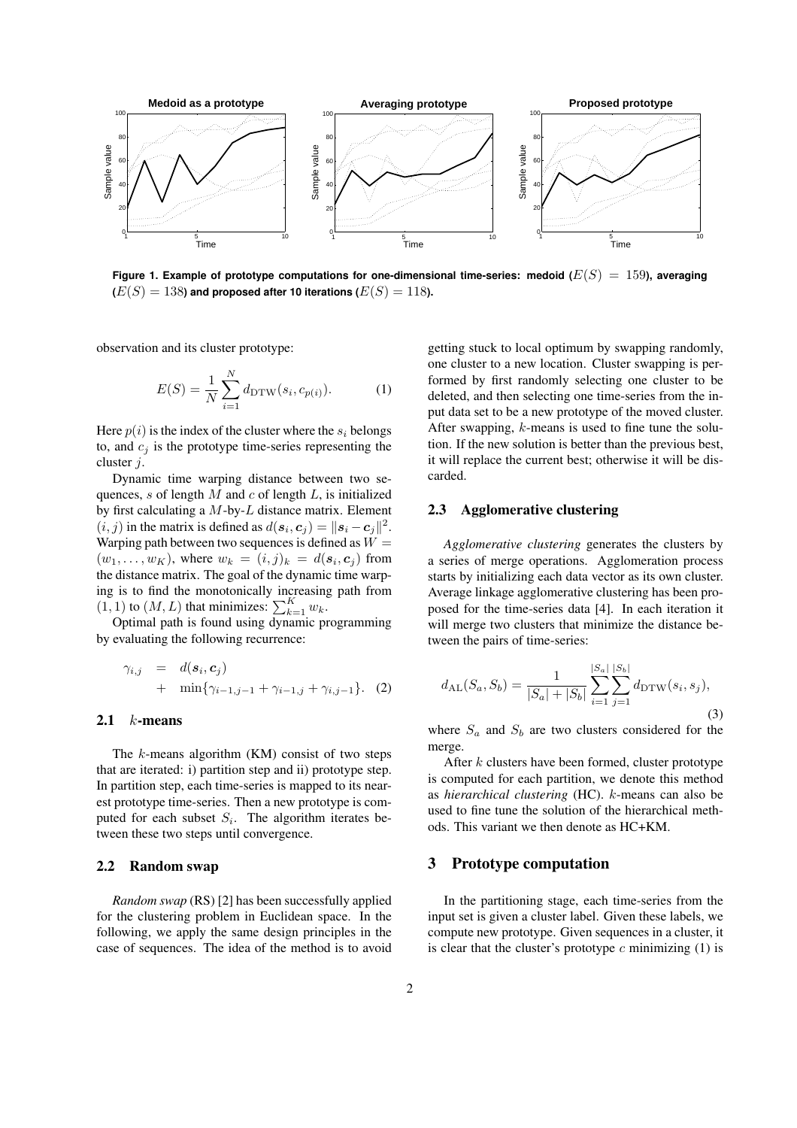

**Figure 1. Example of prototype computations for one-dimensional time-series: medoid**  $(E(S) = 159)$ **, averaging**  $(E(S) = 138)$  and proposed after 10 iterations  $(E(S) = 118)$ .

observation and its cluster prototype:

$$
E(S) = \frac{1}{N} \sum_{i=1}^{N} d_{\text{DTW}}(s_i, c_{p(i)}).
$$
 (1)

Here  $p(i)$  is the index of the cluster where the  $s_i$  belongs to, and  $c_i$  is the prototype time-series representing the cluster j.

Dynamic time warping distance between two sequences, s of length  $M$  and  $c$  of length  $L$ , is initialized by first calculating a  $M$ -by- $L$  distance matrix. Element  $(i, j)$  in the matrix is defined as  $d(\mathbf{s}_i, \mathbf{c}_j) = ||\mathbf{s}_i - \mathbf{c}_j||^2$ . Warping path between two sequences is defined as  $W =$  $(w_1, \ldots, w_K)$ , where  $w_k = (i, j)_k = d(\mathbf{s}_i, \mathbf{c}_j)$  from the distance matrix. The goal of the dynamic time warping is to find the monotonically increasing path from (1, 1) to  $(M, L)$  that minimizes:  $\sum_{k=1}^{K} w_k$ .

Optimal path is found using dynamic programming by evaluating the following recurrence:

$$
\gamma_{i,j} = d(s_i, c_j) \n+ \min\{\gamma_{i-1,j-1} + \gamma_{i-1,j} + \gamma_{i,j-1}\}.
$$
 (2)

# 2.1  $k$ -means

The  $k$ -means algorithm  $(KM)$  consist of two steps that are iterated: i) partition step and ii) prototype step. In partition step, each time-series is mapped to its nearest prototype time-series. Then a new prototype is computed for each subset  $S_i$ . The algorithm iterates between these two steps until convergence.

# 2.2 Random swap

*Random swap* (RS) [2] has been successfully applied for the clustering problem in Euclidean space. In the following, we apply the same design principles in the case of sequences. The idea of the method is to avoid getting stuck to local optimum by swapping randomly, one cluster to a new location. Cluster swapping is performed by first randomly selecting one cluster to be deleted, and then selecting one time-series from the input data set to be a new prototype of the moved cluster. After swapping,  $k$ -means is used to fine tune the solution. If the new solution is better than the previous best, it will replace the current best; otherwise it will be discarded.

#### 2.3 Agglomerative clustering

*Agglomerative clustering* generates the clusters by a series of merge operations. Agglomeration process starts by initializing each data vector as its own cluster. Average linkage agglomerative clustering has been proposed for the time-series data [4]. In each iteration it will merge two clusters that minimize the distance between the pairs of time-series:

$$
d_{\mathrm{AL}}(S_a, S_b) = \frac{1}{|S_a| + |S_b|} \sum_{i=1}^{|S_a|} \sum_{j=1}^{|S_b|} d_{\mathrm{DTW}}(s_i, s_j),\tag{3}
$$

where  $S_a$  and  $S_b$  are two clusters considered for the merge.

After  $k$  clusters have been formed, cluster prototype is computed for each partition, we denote this method as *hierarchical clustering* (HC). k-means can also be used to fine tune the solution of the hierarchical methods. This variant we then denote as HC+KM.

# 3 Prototype computation

In the partitioning stage, each time-series from the input set is given a cluster label. Given these labels, we compute new prototype. Given sequences in a cluster, it is clear that the cluster's prototype  $c$  minimizing (1) is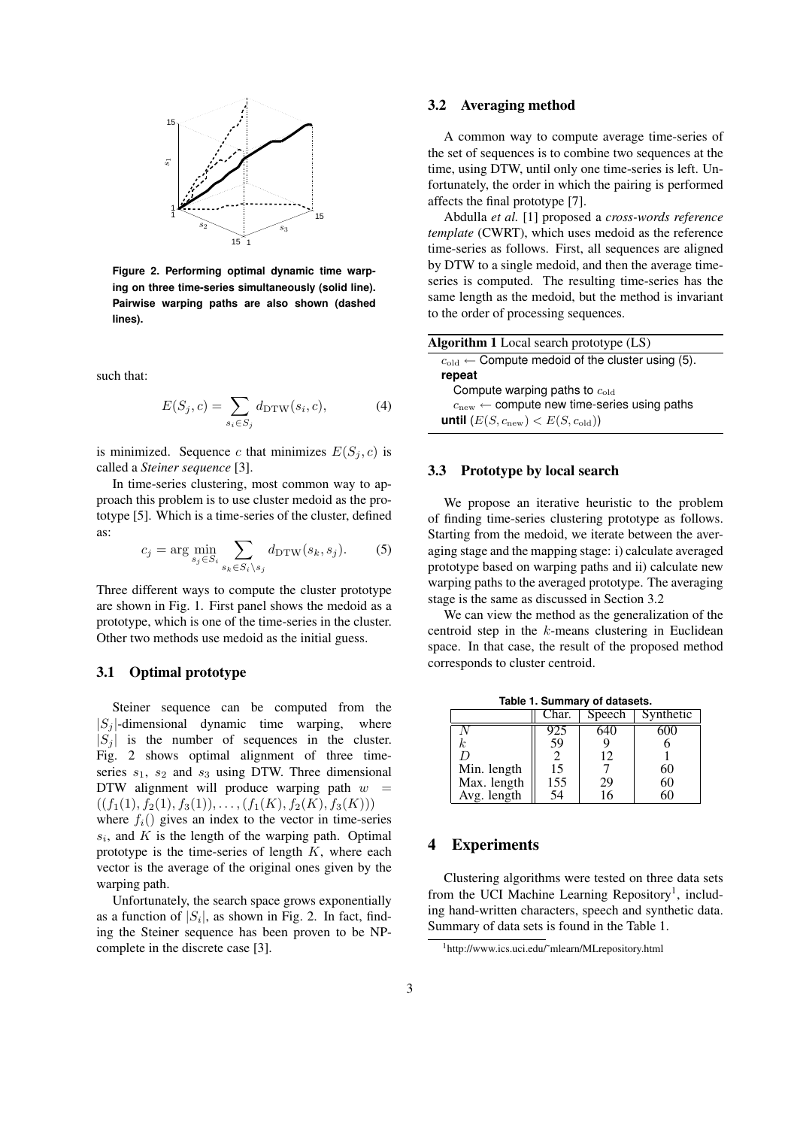

**Figure 2. Performing optimal dynamic time warping on three time-series simultaneously (solid line). Pairwise warping paths are also shown (dashed lines).**

such that:

$$
E(S_j, c) = \sum_{s_i \in S_j} d_{\text{DTW}}(s_i, c), \tag{4}
$$

is minimized. Sequence c that minimizes  $E(S_i, c)$  is called a *Steiner sequence* [3].

In time-series clustering, most common way to approach this problem is to use cluster medoid as the prototype [5]. Which is a time-series of the cluster, defined as:  $\overline{a}$ 

$$
c_j = \arg\min_{s_j \in S_i} \sum_{s_k \in S_i \setminus s_j} d_{\text{DTW}}(s_k, s_j). \tag{5}
$$

Three different ways to compute the cluster prototype are shown in Fig. 1. First panel shows the medoid as a prototype, which is one of the time-series in the cluster. Other two methods use medoid as the initial guess.

#### 3.1 Optimal prototype

Steiner sequence can be computed from the  $|S_i|$ -dimensional dynamic time warping, where  $|S_i|$  is the number of sequences in the cluster. Fig. 2 shows optimal alignment of three timeseries  $s_1$ ,  $s_2$  and  $s_3$  using DTW. Three dimensional DTW alignment will produce warping path  $w =$  $((f_1(1), f_2(1), f_3(1)), \ldots, (f_1(K), f_2(K), f_3(K)))$ 

where  $f_i()$  gives an index to the vector in time-series  $s_i$ , and  $K$  is the length of the warping path. Optimal prototype is the time-series of length  $K$ , where each vector is the average of the original ones given by the warping path.

Unfortunately, the search space grows exponentially as a function of  $|S_i|$ , as shown in Fig. 2. In fact, finding the Steiner sequence has been proven to be NPcomplete in the discrete case [3].

### 3.2 Averaging method

A common way to compute average time-series of the set of sequences is to combine two sequences at the time, using DTW, until only one time-series is left. Unfortunately, the order in which the pairing is performed affects the final prototype [7].

Abdulla *et al.* [1] proposed a *cross-words reference template* (CWRT), which uses medoid as the reference time-series as follows. First, all sequences are aligned by DTW to a single medoid, and then the average timeseries is computed. The resulting time-series has the same length as the medoid, but the method is invariant to the order of processing sequences.

| <b>Algorithm 1</b> Local search prototype $(LS)$              |  |  |  |  |  |
|---------------------------------------------------------------|--|--|--|--|--|
| $c_{old} \leftarrow$ Compute medoid of the cluster using (5). |  |  |  |  |  |
| repeat                                                        |  |  |  |  |  |
| Compute warping paths to $c_{old}$                            |  |  |  |  |  |
| $cnew \leftarrow$ compute new time-series using paths         |  |  |  |  |  |
| until $(E(S, c_{\text{new}}) < E(S, c_{\text{old}}))$         |  |  |  |  |  |

### 3.3 Prototype by local search

We propose an iterative heuristic to the problem of finding time-series clustering prototype as follows. Starting from the medoid, we iterate between the averaging stage and the mapping stage: i) calculate averaged prototype based on warping paths and ii) calculate new warping paths to the averaged prototype. The averaging stage is the same as discussed in Section 3.2

We can view the method as the generalization of the centroid step in the k-means clustering in Euclidean space. In that case, the result of the proposed method corresponds to cluster centroid.

|             | Char. | Speech | Synthetic |  |  |  |  |
|-------------|-------|--------|-----------|--|--|--|--|
|             |       |        |           |  |  |  |  |
| k           | 59    |        |           |  |  |  |  |
|             |       | 12     |           |  |  |  |  |
| Min. length | 15    |        |           |  |  |  |  |
| Max. length | 155   | 29     | 60        |  |  |  |  |
| Avg. length | 54    | 6      |           |  |  |  |  |

#### **Table 1. Summary of datasets.**

# 4 Experiments

Clustering algorithms were tested on three data sets from the UCI Machine Learning Repository<sup>1</sup>, including hand-written characters, speech and synthetic data. Summary of data sets is found in the Table 1.

<sup>1</sup>http://www.ics.uci.edu/˜mlearn/MLrepository.html